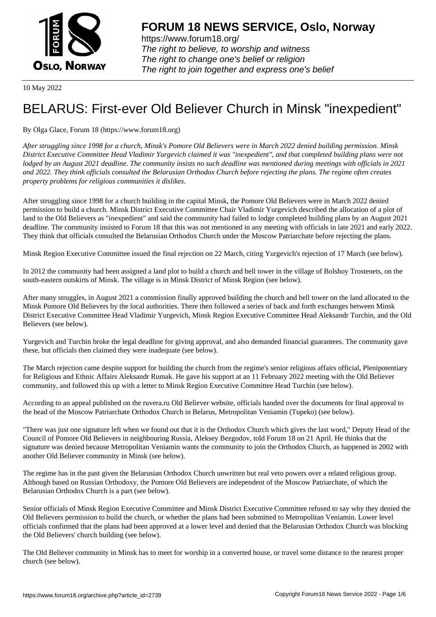

https://www.forum18.org/ The right to believe, to worship and witness The right to change one's belief or religion [The right to join together a](https://www.forum18.org/)nd express one's belief

10 May 2022

## [BELARUS: Firs](https://www.forum18.org)t-ever Old Believer Church in Minsk "inexpedient"

By Olga Glace, Forum 18 (https://www.forum18.org)

*After struggling since 1998 for a church, Minsk's Pomore Old Believers were in March 2022 denied building permission. Minsk District Executive Committee Head Vladimir Yurgevich claimed it was "inexpedient", and that completed building plans were not lodged by an August 2021 deadline. The community insists no such deadline was mentioned during meetings with officials in 2021 and 2022. They think officials consulted the Belarusian Orthodox Church before rejecting the plans. The regime often creates property problems for religious communities it dislikes.*

After struggling since 1998 for a church building in the capital Minsk, the Pomore Old Believers were in March 2022 denied permission to build a church. Minsk District Executive Committee Chair Vladimir Yurgevich described the allocation of a plot of land to the Old Believers as "inexpedient" and said the community had failed to lodge completed building plans by an August 2021 deadline. The community insisted to Forum 18 that this was not mentioned in any meeting with officials in late 2021 and early 2022. They think that officials consulted the Belarusian Orthodox Church under the Moscow Patriarchate before rejecting the plans.

Minsk Region Executive Committee issued the final rejection on 22 March, citing Yurgevich's rejection of 17 March (see below).

In 2012 the community had been assigned a land plot to build a church and bell tower in the village of Bolshoy Trostenets, on the south-eastern outskirts of Minsk. The village is in Minsk District of Minsk Region (see below).

After many struggles, in August 2021 a commission finally approved building the church and bell tower on the land allocated to the Minsk Pomore Old Believers by the local authorities. There then followed a series of back and forth exchanges between Minsk District Executive Committee Head Vladimir Yurgevich, Minsk Region Executive Committee Head Aleksandr Turchin, and the Old Believers (see below).

Yurgevich and Turchin broke the legal deadline for giving approval, and also demanded financial guarantees. The community gave these, but officials then claimed they were inadequate (see below).

The March rejection came despite support for building the church from the regime's senior religious affairs official, Plenipotentiary for Religious and Ethnic Affairs Aleksandr Rumak. He gave his support at an 11 February 2022 meeting with the Old Believer community, and followed this up with a letter to Minsk Region Executive Committee Head Turchin (see below).

According to an appeal published on the ruvera.ru Old Believer website, officials handed over the documents for final approval to the head of the Moscow Patriarchate Orthodox Church in Belarus, Metropolitan Veniamin (Tupeko) (see below).

"There was just one signature left when we found out that it is the Orthodox Church which gives the last word," Deputy Head of the Council of Pomore Old Believers in neighbouring Russia, Aleksey Bezgodov, told Forum 18 on 21 April. He thinks that the signature was denied because Metropolitan Veniamin wants the community to join the Orthodox Church, as happened in 2002 with another Old Believer community in Minsk (see below).

The regime has in the past given the Belarusian Orthodox Church unwritten but real veto powers over a related religious group. Although based on Russian Orthodoxy, the Pomore Old Believers are independent of the Moscow Patriarchate, of which the Belarusian Orthodox Church is a part (see below).

Senior officials of Minsk Region Executive Committee and Minsk District Executive Committee refused to say why they denied the Old Believers permission to build the church, or whether the plans had been submitted to Metropolitan Veniamin. Lower level officials confirmed that the plans had been approved at a lower level and denied that the Belarusian Orthodox Church was blocking the Old Believers' church building (see below).

The Old Believer community in Minsk has to meet for worship in a converted house, or travel some distance to the nearest proper church (see below).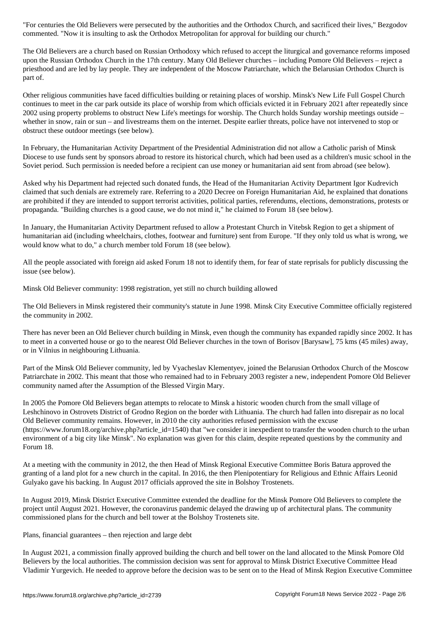commented. "Now it is insulting to ask the Orthodox Metropolitan for approval for building our church."

The Old Believers are a church based on Russian Orthodoxy which refused to accept the liturgical and governance reforms imposed upon the Russian Orthodox Church in the 17th century. Many Old Believer churches – including Pomore Old Believers – reject a priesthood and are led by lay people. They are independent of the Moscow Patriarchate, which the Belarusian Orthodox Church is part of.

Other religious communities have faced difficulties building or retaining places of worship. Minsk's New Life Full Gospel Church continues to meet in the car park outside its place of worship from which officials evicted it in February 2021 after repeatedly since 2002 using property problems to obstruct New Life's meetings for worship. The Church holds Sunday worship meetings outside – whether in snow, rain or sun – and livestreams them on the internet. Despite earlier threats, police have not intervened to stop or obstruct these outdoor meetings (see below).

In February, the Humanitarian Activity Department of the Presidential Administration did not allow a Catholic parish of Minsk Diocese to use funds sent by sponsors abroad to restore its historical church, which had been used as a children's music school in the Soviet period. Such permission is needed before a recipient can use money or humanitarian aid sent from abroad (see below).

Asked why his Department had rejected such donated funds, the Head of the Humanitarian Activity Department Igor Kudrevich claimed that such denials are extremely rare. Referring to a 2020 Decree on Foreign Humanitarian Aid, he explained that donations are prohibited if they are intended to support terrorist activities, political parties, referendums, elections, demonstrations, protests or propaganda. "Building churches is a good cause, we do not mind it," he claimed to Forum 18 (see below).

In January, the Humanitarian Activity Department refused to allow a Protestant Church in Vitebsk Region to get a shipment of humanitarian aid (including wheelchairs, clothes, footwear and furniture) sent from Europe. "If they only told us what is wrong, we would know what to do," a church member told Forum 18 (see below).

All the people associated with foreign aid asked Forum 18 not to identify them, for fear of state reprisals for publicly discussing the issue (see below).

Minsk Old Believer community: 1998 registration, yet still no church building allowed

The Old Believers in Minsk registered their community's statute in June 1998. Minsk City Executive Committee officially registered the community in 2002.

There has never been an Old Believer church building in Minsk, even though the community has expanded rapidly since 2002. It has to meet in a converted house or go to the nearest Old Believer churches in the town of Borisov [Barysaw], 75 kms (45 miles) away, or in Vilnius in neighbouring Lithuania.

Part of the Minsk Old Believer community, led by Vyacheslav Klementyev, joined the Belarusian Orthodox Church of the Moscow Patriarchate in 2002. This meant that those who remained had to in February 2003 register a new, independent Pomore Old Believer community named after the Assumption of the Blessed Virgin Mary.

In 2005 the Pomore Old Believers began attempts to relocate to Minsk a historic wooden church from the small village of Leshchinovo in Ostrovets District of Grodno Region on the border with Lithuania. The church had fallen into disrepair as no local Old Believer community remains. However, in 2010 the city authorities refused permission with the excuse (https://www.forum18.org/archive.php?article\_id=1540) that "we consider it inexpedient to transfer the wooden church to the urban environment of a big city like Minsk". No explanation was given for this claim, despite repeated questions by the community and Forum 18.

At a meeting with the community in 2012, the then Head of Minsk Regional Executive Committee Boris Batura approved the granting of a land plot for a new church in the capital. In 2016, the then Plenipotentiary for Religious and Ethnic Affairs Leonid Gulyako gave his backing. In August 2017 officials approved the site in Bolshoy Trostenets.

In August 2019, Minsk District Executive Committee extended the deadline for the Minsk Pomore Old Believers to complete the project until August 2021. However, the coronavirus pandemic delayed the drawing up of architectural plans. The community commissioned plans for the church and bell tower at the Bolshoy Trostenets site.

Plans, financial guarantees – then rejection and large debt

In August 2021, a commission finally approved building the church and bell tower on the land allocated to the Minsk Pomore Old Believers by the local authorities. The commission decision was sent for approval to Minsk District Executive Committee Head Vladimir Yurgevich. He needed to approve before the decision was to be sent on to the Head of Minsk Region Executive Committee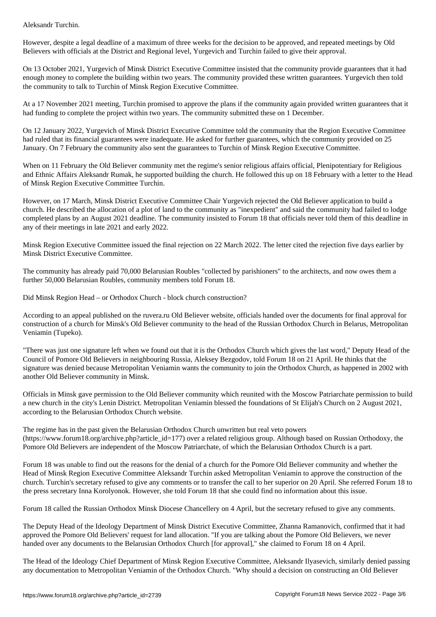However, despite a legal deadline of a maximum of three weeks for the decision to be approved, and repeated meetings by Old Believers with officials at the District and Regional level, Yurgevich and Turchin failed to give their approval.

On 13 October 2021, Yurgevich of Minsk District Executive Committee insisted that the community provide guarantees that it had enough money to complete the building within two years. The community provided these written guarantees. Yurgevich then told the community to talk to Turchin of Minsk Region Executive Committee.

At a 17 November 2021 meeting, Turchin promised to approve the plans if the community again provided written guarantees that it had funding to complete the project within two years. The community submitted these on 1 December.

On 12 January 2022, Yurgevich of Minsk District Executive Committee told the community that the Region Executive Committee had ruled that its financial guarantees were inadequate. He asked for further guarantees, which the community provided on 25 January. On 7 February the community also sent the guarantees to Turchin of Minsk Region Executive Committee.

When on 11 February the Old Believer community met the regime's senior religious affairs official, Plenipotentiary for Religious and Ethnic Affairs Aleksandr Rumak, he supported building the church. He followed this up on 18 February with a letter to the Head of Minsk Region Executive Committee Turchin.

However, on 17 March, Minsk District Executive Committee Chair Yurgevich rejected the Old Believer application to build a church. He described the allocation of a plot of land to the community as "inexpedient" and said the community had failed to lodge completed plans by an August 2021 deadline. The community insisted to Forum 18 that officials never told them of this deadline in any of their meetings in late 2021 and early 2022.

Minsk Region Executive Committee issued the final rejection on 22 March 2022. The letter cited the rejection five days earlier by Minsk District Executive Committee.

The community has already paid 70,000 Belarusian Roubles "collected by parishioners" to the architects, and now owes them a further 50,000 Belarusian Roubles, community members told Forum 18.

Did Minsk Region Head – or Orthodox Church - block church construction?

According to an appeal published on the ruvera.ru Old Believer website, officials handed over the documents for final approval for construction of a church for Minsk's Old Believer community to the head of the Russian Orthodox Church in Belarus, Metropolitan Veniamin (Tupeko).

"There was just one signature left when we found out that it is the Orthodox Church which gives the last word," Deputy Head of the Council of Pomore Old Believers in neighbouring Russia, Aleksey Bezgodov, told Forum 18 on 21 April. He thinks that the signature was denied because Metropolitan Veniamin wants the community to join the Orthodox Church, as happened in 2002 with another Old Believer community in Minsk.

Officials in Minsk gave permission to the Old Believer community which reunited with the Moscow Patriarchate permission to build a new church in the city's Lenin District. Metropolitan Veniamin blessed the foundations of St Elijah's Church on 2 August 2021, according to the Belarusian Orthodox Church website.

The regime has in the past given the Belarusian Orthodox Church unwritten but real veto powers  $(\text{https://www.forum18.org/archive.php?article id=177})$  over a related religious group. Although based on Russian Orthodoxy, the Pomore Old Believers are independent of the Moscow Patriarchate, of which the Belarusian Orthodox Church is a part.

Forum 18 was unable to find out the reasons for the denial of a church for the Pomore Old Believer community and whether the Head of Minsk Region Executive Committee Aleksandr Turchin asked Metropolitan Veniamin to approve the construction of the church. Turchin's secretary refused to give any comments or to transfer the call to her superior on 20 April. She referred Forum 18 to the press secretary Inna Korolyonok. However, she told Forum 18 that she could find no information about this issue.

Forum 18 called the Russian Orthodox Minsk Diocese Chancellery on 4 April, but the secretary refused to give any comments.

The Deputy Head of the Ideology Department of Minsk District Executive Committee, Zhanna Ramanovich, confirmed that it had approved the Pomore Old Believers' request for land allocation. "If you are talking about the Pomore Old Believers, we never handed over any documents to the Belarusian Orthodox Church [for approval]," she claimed to Forum 18 on 4 April.

The Head of the Ideology Chief Department of Minsk Region Executive Committee, Aleksandr Ilyasevich, similarly denied passing any documentation to Metropolitan Veniamin of the Orthodox Church. "Why should a decision on constructing an Old Believer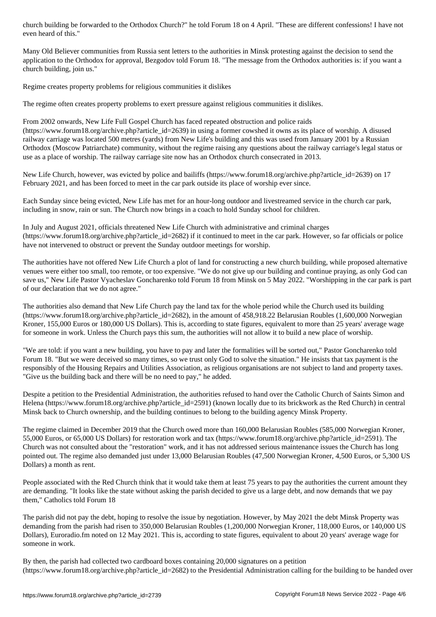Many Old Believer communities from Russia sent letters to the authorities in Minsk protesting against the decision to send the application to the Orthodox for approval, Bezgodov told Forum 18. "The message from the Orthodox authorities is: if you want a church building, join us."

Regime creates property problems for religious communities it dislikes

The regime often creates property problems to exert pressure against religious communities it dislikes.

From 2002 onwards, New Life Full Gospel Church has faced repeated obstruction and police raids (https://www.forum18.org/archive.php?article\_id=2639) in using a former cowshed it owns as its place of worship. A disused railway carriage was located 500 metres (yards) from New Life's building and this was used from January 2001 by a Russian Orthodox (Moscow Patriarchate) community, without the regime raising any questions about the railway carriage's legal status or use as a place of worship. The railway carriage site now has an Orthodox church consecrated in 2013.

New Life Church, however, was evicted by police and bailiffs (https://www.forum18.org/archive.php?article\_id=2639) on 17 February 2021, and has been forced to meet in the car park outside its place of worship ever since.

Each Sunday since being evicted, New Life has met for an hour-long outdoor and livestreamed service in the church car park, including in snow, rain or sun. The Church now brings in a coach to hold Sunday school for children.

In July and August 2021, officials threatened New Life Church with administrative and criminal charges  $(\text{https://www.forum18.org/archive.php?article id=2682})$  if it continued to meet in the car park. However, so far officials or police have not intervened to obstruct or prevent the Sunday outdoor meetings for worship.

The authorities have not offered New Life Church a plot of land for constructing a new church building, while proposed alternative venues were either too small, too remote, or too expensive. "We do not give up our building and continue praying, as only God can save us," New Life Pastor Vyacheslav Goncharenko told Forum 18 from Minsk on 5 May 2022. "Worshipping in the car park is part of our declaration that we do not agree."

The authorities also demand that New Life Church pay the land tax for the whole period while the Church used its building  $(\text{https://www.forum18.org/archive.php?article id=2682})$ , in the amount of 458,918.22 Belarusian Roubles (1,600,000 Norwegian Kroner, 155,000 Euros or 180,000 US Dollars). This is, according to state figures, equivalent to more than 25 years' average wage for someone in work. Unless the Church pays this sum, the authorities will not allow it to build a new place of worship.

"We are told: if you want a new building, you have to pay and later the formalities will be sorted out," Pastor Goncharenko told Forum 18. "But we were deceived so many times, so we trust only God to solve the situation." He insists that tax payment is the responsibly of the Housing Repairs and Utilities Association, as religious organisations are not subject to land and property taxes. "Give us the building back and there will be no need to pay," he added.

Despite a petition to the Presidential Administration, the authorities refused to hand over the Catholic Church of Saints Simon and Helena (https://www.forum18.org/archive.php?article\_id=2591) (known locally due to its brickwork as the Red Church) in central Minsk back to Church ownership, and the building continues to belong to the building agency Minsk Property.

The regime claimed in December 2019 that the Church owed more than 160,000 Belarusian Roubles (585,000 Norwegian Kroner, 55,000 Euros, or 65,000 US Dollars) for restoration work and tax (https://www.forum18.org/archive.php?article\_id=2591). The Church was not consulted about the "restoration" work, and it has not addressed serious maintenance issues the Church has long pointed out. The regime also demanded just under 13,000 Belarusian Roubles (47,500 Norwegian Kroner, 4,500 Euros, or 5,300 US Dollars) a month as rent.

People associated with the Red Church think that it would take them at least 75 years to pay the authorities the current amount they are demanding. "It looks like the state without asking the parish decided to give us a large debt, and now demands that we pay them," Catholics told Forum 18

The parish did not pay the debt, hoping to resolve the issue by negotiation. However, by May 2021 the debt Minsk Property was demanding from the parish had risen to 350,000 Belarusian Roubles (1,200,000 Norwegian Kroner, 118,000 Euros, or 140,000 US Dollars), Euroradio.fm noted on 12 May 2021. This is, according to state figures, equivalent to about 20 years' average wage for someone in work.

By then, the parish had collected two cardboard boxes containing 20,000 signatures on a petition (https://www.forum18.org/archive.php?article\_id=2682) to the Presidential Administration calling for the building to be handed over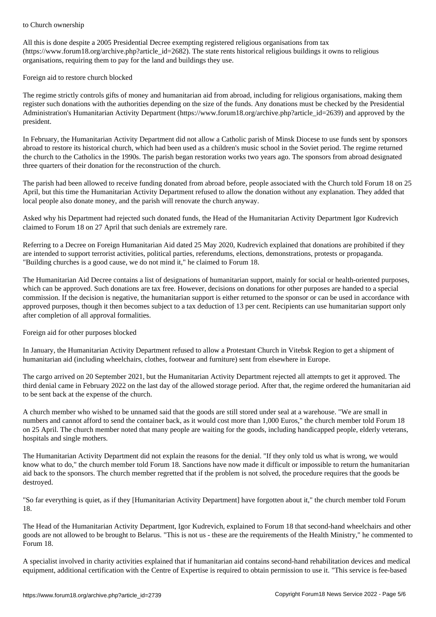All this is done despite a 2005 Presidential Decree exempting registered religious organisations from tax (https://www.forum18.org/archive.php?article\_id=2682). The state rents historical religious buildings it owns to religious organisations, requiring them to pay for the land and buildings they use.

Foreign aid to restore church blocked

The regime strictly controls gifts of money and humanitarian aid from abroad, including for religious organisations, making them register such donations with the authorities depending on the size of the funds. Any donations must be checked by the Presidential Administration's Humanitarian Activity Department (https://www.forum18.org/archive.php?article\_id=2639) and approved by the president.

In February, the Humanitarian Activity Department did not allow a Catholic parish of Minsk Diocese to use funds sent by sponsors abroad to restore its historical church, which had been used as a children's music school in the Soviet period. The regime returned the church to the Catholics in the 1990s. The parish began restoration works two years ago. The sponsors from abroad designated three quarters of their donation for the reconstruction of the church.

The parish had been allowed to receive funding donated from abroad before, people associated with the Church told Forum 18 on 25 April, but this time the Humanitarian Activity Department refused to allow the donation without any explanation. They added that local people also donate money, and the parish will renovate the church anyway.

Asked why his Department had rejected such donated funds, the Head of the Humanitarian Activity Department Igor Kudrevich claimed to Forum 18 on 27 April that such denials are extremely rare.

Referring to a Decree on Foreign Humanitarian Aid dated 25 May 2020, Kudrevich explained that donations are prohibited if they are intended to support terrorist activities, political parties, referendums, elections, demonstrations, protests or propaganda. "Building churches is a good cause, we do not mind it," he claimed to Forum 18.

The Humanitarian Aid Decree contains a list of designations of humanitarian support, mainly for social or health-oriented purposes, which can be approved. Such donations are tax free. However, decisions on donations for other purposes are handed to a special commission. If the decision is negative, the humanitarian support is either returned to the sponsor or can be used in accordance with approved purposes, though it then becomes subject to a tax deduction of 13 per cent. Recipients can use humanitarian support only after completion of all approval formalities.

Foreign aid for other purposes blocked

In January, the Humanitarian Activity Department refused to allow a Protestant Church in Vitebsk Region to get a shipment of humanitarian aid (including wheelchairs, clothes, footwear and furniture) sent from elsewhere in Europe.

The cargo arrived on 20 September 2021, but the Humanitarian Activity Department rejected all attempts to get it approved. The third denial came in February 2022 on the last day of the allowed storage period. After that, the regime ordered the humanitarian aid to be sent back at the expense of the church.

A church member who wished to be unnamed said that the goods are still stored under seal at a warehouse. "We are small in numbers and cannot afford to send the container back, as it would cost more than 1,000 Euros," the church member told Forum 18 on 25 April. The church member noted that many people are waiting for the goods, including handicapped people, elderly veterans, hospitals and single mothers.

The Humanitarian Activity Department did not explain the reasons for the denial. "If they only told us what is wrong, we would know what to do," the church member told Forum 18. Sanctions have now made it difficult or impossible to return the humanitarian aid back to the sponsors. The church member regretted that if the problem is not solved, the procedure requires that the goods be destroyed.

"So far everything is quiet, as if they [Humanitarian Activity Department] have forgotten about it," the church member told Forum 18.

The Head of the Humanitarian Activity Department, Igor Kudrevich, explained to Forum 18 that second-hand wheelchairs and other goods are not allowed to be brought to Belarus. "This is not us - these are the requirements of the Health Ministry," he commented to Forum 18.

A specialist involved in charity activities explained that if humanitarian aid contains second-hand rehabilitation devices and medical equipment, additional certification with the Centre of Expertise is required to obtain permission to use it. "This service is fee-based